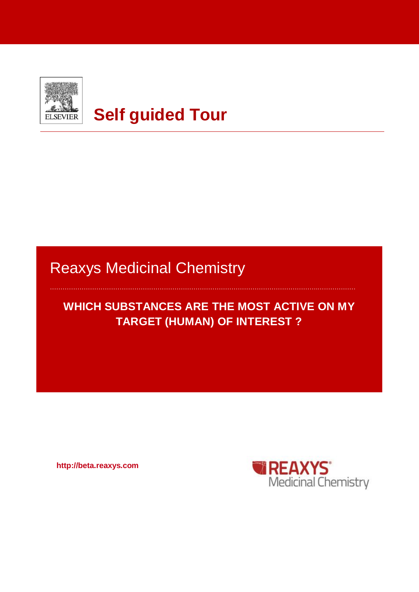

# **Self guided Tour**

# Reaxys Medicinal Chemistry

# **WHICH SUBSTANCES ARE THE MOST ACTIVE ON MY TARGET (HUMAN) OF INTEREST ?**

**http://beta.reaxys.com**

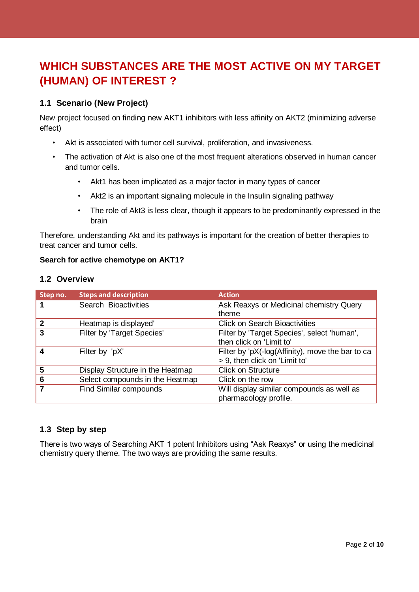# **WHICH SUBSTANCES ARE THE MOST ACTIVE ON MY TARGET (HUMAN) OF INTEREST ?**

#### **1.1 Scenario (New Project)**

New project focused on finding new AKT1 inhibitors with less affinity on AKT2 (minimizing adverse effect)

- Akt is associated with tumor cell survival, proliferation, and invasiveness.
- The activation of Akt is also one of the most frequent alterations observed in human cancer and tumor cells.
	- Akt1 has been implicated as a major factor in many types of cancer
	- Akt2 is an important signaling molecule in the Insulin signaling pathway
	- The role of Akt3 is less clear, though it appears to be predominantly expressed in the brain

Therefore, understanding Akt and its pathways is important for the creation of better therapies to treat cancer and tumor cells.

#### **Search for active chemotype on AKT1?**

#### **1.2 Overview**

| Step no. | <b>Steps and description</b>     | <b>Action</b>                                                                     |
|----------|----------------------------------|-----------------------------------------------------------------------------------|
|          | Search Bioactivities             | Ask Reaxys or Medicinal chemistry Query<br>theme                                  |
| 2        | Heatmap is displayed'            | <b>Click on Search Bioactivities</b>                                              |
| 3        | Filter by 'Target Species'       | Filter by 'Target Species', select 'human',<br>then click on 'Limit to'           |
|          | Filter by 'pX'                   | Filter by 'pX(-log(Affinity), move the bar to ca<br>> 9, then click on 'Limit to' |
| 5        | Display Structure in the Heatmap | <b>Click on Structure</b>                                                         |
| 6        | Select compounds in the Heatmap  | Click on the row                                                                  |
|          | <b>Find Similar compounds</b>    | Will display similar compounds as well as<br>pharmacology profile.                |

## **1.3 Step by step**

There is two ways of Searching AKT 1 potent Inhibitors using "Ask Reaxys" or using the medicinal chemistry query theme. The two ways are providing the same results.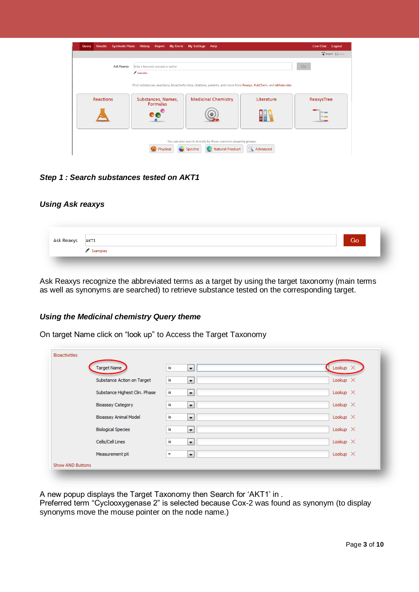| <b>Synthesis Plans</b><br><b>Results</b><br>Query | History<br><b>Report My Alerts</b>             | <b>My Settings</b><br>Help                                                                                                                    |                 | <b>Live Chat</b><br>Logout |
|---------------------------------------------------|------------------------------------------------|-----------------------------------------------------------------------------------------------------------------------------------------------|-----------------|----------------------------|
|                                                   |                                                |                                                                                                                                               |                 | Import El Save             |
| <b>Ask Reaxys</b>                                 | Enter a keyword, concept or author<br>Examples |                                                                                                                                               |                 | Go                         |
| <b>Reactions</b>                                  | Substances, Names,<br>Formulas                 | Find substances, reactions, bioactivity data, citations, patents, and more from Reaxys, PubChem, and eMolecules<br><b>Medicinal Chemistry</b> | Literature      | ReaxysTree                 |
|                                                   |                                                |                                                                                                                                               |                 | $\sim$                     |
|                                                   | Physical                                       | You can also search directly by these common property groups:<br><b>Natural Product</b><br>Spectra                                            | <b>Advanced</b> |                            |

*Step 1 : Search substances tested on AKT1*

#### *Using Ask reaxys*

| Ask Reaxys AKT1 |                                | Go. |
|-----------------|--------------------------------|-----|
|                 | $\blacktriangleright$ Examples |     |

Ask Reaxys recognize the abbreviated terms as a target by using the target taxonomy (main terms as well as synonyms are searched) to retrieve substance tested on the corresponding target.

#### *Using the Medicinal chemistry Query theme*

On target Name click on "look up" to Access the Target Taxonomy

| <b>Bioactivities</b>          |                                  |                 |
|-------------------------------|----------------------------------|-----------------|
| Target Name                   | is.<br>$\overline{\phantom{a}}$  | Lookup $\times$ |
| Substance Action on Target    | is<br>$\blacktriangledown$       | Lookup $\times$ |
| Substance Highest Clin. Phase | is.<br>$\blacktriangledown$      | Lookup $\times$ |
| <b>Bioassay Category</b>      | is<br>$\blacktriangledown$       | Lookup $\times$ |
| <b>Bioassay Animal Model</b>  | is.<br>$\blacktriangledown$      | Lookup $\times$ |
| <b>Biological Species</b>     | is.<br>н.                        | Lookup $\times$ |
| Cells/Cell Lines              | is<br>$\blacktriangledown$       | Lookup $\times$ |
| Measurement pX                | $\blacktriangledown$<br>$\equiv$ | Lookup $\times$ |
| <b>Show AND Buttons</b>       |                                  |                 |

A new popup displays the Target Taxonomy then Search for 'AKT1' in .

Preferred term "Cyclooxygenase 2" is selected because Cox-2 was found as synonym (to display synonyms move the mouse pointer on the node name.)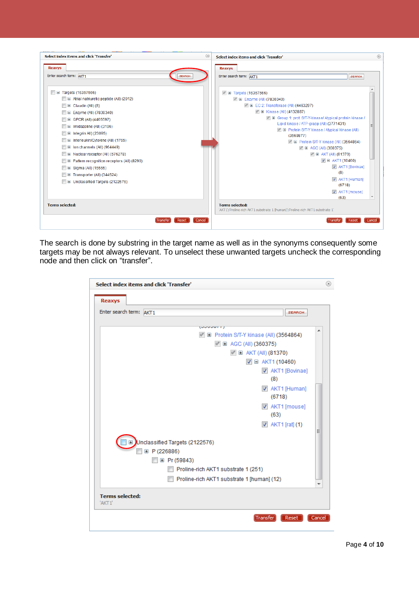| Select index items and click 'Transfer'        | $\circledR$<br>Select index items and click 'Transfer'<br>$\circledcirc$                                 |
|------------------------------------------------|----------------------------------------------------------------------------------------------------------|
| Reaxys                                         | Reaxys                                                                                                   |
| Enter search term: AKT1<br><b>SEARCH</b>       | Enter search term: AKT1<br><b>SEARCH</b>                                                                 |
| $\Box$ $\Box$ Targets (16357566)               | ■ Targets (16357566)                                                                                     |
| E E Atrial natriuretic peptide (All) (2012)    | <b>■</b> Enzyme (All) (7830340)                                                                          |
| $\Box$ $\Box$ Claudin (All) (8)                | <b>M</b> E EC 2: Transferase (All) (4463297)                                                             |
| □ El Enzyme (All) (7830340)                    | ■ Kinase (All) (4132887)                                                                                 |
| $\Box$ $\Box$ GPCR (All) (4465597)             | Group 1: prot. S/T-Y-kinase/ Atypical protein kinase /                                                   |
| E Imidazoline (All) (3196)                     | Lipid kinase / ATP-grasp (All) (3771431)                                                                 |
| <b>E</b> integrin All) (23095)                 | F El Protein S/T-Y kinase / Atypical kinase (All)                                                        |
| Interleukin/Cytokine (All) (1765)<br>$\pm$     | (3569877)<br>F El Protein S/T-Y kinase (All) (3564864)                                                   |
| <b>E</b> Ion channels (All) (964449)           | ■ AGC (All) (360375)                                                                                     |
| U Nuclear receptor (All) (576278)              | <b>■ AKT (All) (81370)</b>                                                                               |
| E E Pattern recognition receptors (All) (8290) | $\boxed{\triangledown}$ $\Box$ AKT1 (10460)                                                              |
| □ El Sigma (All) (15555)                       | AKT1 [Bovinae]                                                                                           |
| E Transporter (All) (344524)                   | (8)                                                                                                      |
| Unclassified Targets (2122576)                 | AKT1 [Human]                                                                                             |
|                                                | (6718)                                                                                                   |
|                                                | AKT1 [mouse]                                                                                             |
|                                                | (63)                                                                                                     |
| <b>Terms selected:</b>                         | <b>Terms selected:</b><br>'AKT1';'Proline-rich AKT1 substrate 1 [human]';'Proline-rich AKT1 substrate 1' |
| Transfer<br>Reset                              | Cancel<br> Transfer<br>Reset<br>Cancel                                                                   |

The search is done by substring in the target name as well as in the synonyms consequently some targets may be not always relevant. To unselect these unwanted targets uncheck the corresponding node and then click on "transfer".

| Enter search term: AKT1 | <b>SEARCH</b>                                    |   |
|-------------------------|--------------------------------------------------|---|
|                         | (Juuuu rij                                       | ∸ |
|                         | ■ Protein S/T-Y kinase (All) (3564864)           |   |
|                         | ■ EI AGC (All) (360375)                          |   |
|                         | ■ AKT (All) (81370)                              |   |
|                         | $\boxed{\triangledown}$ $\boxminus$ AKT1 (10460) |   |
|                         | AKT1 [Bovinae]                                   |   |
|                         | (8)                                              |   |
|                         | AKT1 [Human]                                     |   |
|                         | (6718)                                           |   |
|                         | AKT1 [mouse]                                     |   |
|                         | (63)                                             |   |
|                         | $\sqrt{2}$ AKT1 [rat] (1)                        |   |
|                         |                                                  | Ξ |
|                         | Unclassified Targets (2122576)                   |   |
| □ P (226886)            |                                                  |   |
|                         | <b>E</b> Pr (59843)                              |   |
|                         | Proline-rich AKT1 substrate 1 (251)              |   |
|                         | Proline-rich AKT1 substrate 1 [human] (12)       |   |
|                         |                                                  |   |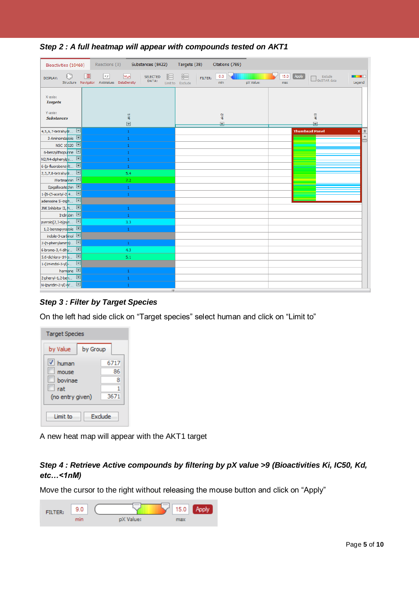| Bioactivities (10460)                                 | Reactions (0)<br>Substances (8422)                                                         | Targets (38)<br>Citations (789)                             |                                                                 |
|-------------------------------------------------------|--------------------------------------------------------------------------------------------|-------------------------------------------------------------|-----------------------------------------------------------------|
| C<br>DISPLAY:                                         | Ⅲ<br>$x\,y$<br>M<br><b>SELECTED</b><br>DATA:<br>Structure Navigator AxisValues DataDensity | 0.0<br>丽<br>FILTER:<br>min<br>pX Value:<br>Limit to Exclude | Apply<br>15.0<br>Exclude<br>. .<br>GoSTAR data<br>Legend<br>max |
| X-axis:<br><b>Targets</b>                             |                                                                                            |                                                             |                                                                 |
| Y-axis:<br><b>Substances</b>                          | $\frac{1}{8}$<br>$\overline{\phantom{0}}$                                                  | d<br>$\overline{\mathbf{z}}$                                | $\frac{1}{2}$<br>$\overline{\mathbf{z}}$                        |
| $\boxed{\blacksquare}$<br>4,5,6,7-tetrahydr           | $1\,$                                                                                      |                                                             | ∣≰<br><b>Thumbnail Panel</b><br>x                               |
| 3-Aminoindazole <b>V</b>                              | $\mathbf{1}$                                                                               |                                                             | ▲                                                               |
| NSC 10120 <b>D</b>                                    | $1\,$                                                                                      |                                                             |                                                                 |
| 6-benzylthiopurine                                    | $\mathbf{1}$                                                                               |                                                             |                                                                 |
| $\boxed{\blacksquare}$<br>N2,N4-diphenylpy            | $1\,$                                                                                      |                                                             |                                                                 |
| 6-(p-fluorobenzylt                                    | $\mathbf{1}$                                                                               |                                                             |                                                                 |
| $\boxed{\blacksquare}$<br>2,3,7,8-tetrahydr           | 5,4                                                                                        |                                                             |                                                                 |
| Wortmannin [                                          | 7.2                                                                                        |                                                             |                                                                 |
| Epigallocatechin <b>D</b>                             | $1\,$                                                                                      |                                                             |                                                                 |
| 1-[6-(3-acetyl-2 4 D                                  | $\mathbf{1}$                                                                               |                                                             |                                                                 |
| $\boxed{\mathbf{r}}$<br>adenosine 5'-triph            |                                                                                            |                                                             |                                                                 |
| $\boxed{\blacksquare}$<br>JNK Inhibitor II, N.        | $1\,$                                                                                      |                                                             |                                                                 |
| Indirubin []                                          | $\mathbf{1}$                                                                               |                                                             |                                                                 |
| $\Box$<br>pyrrolo[2,3-b]pyri                          | 3,3                                                                                        |                                                             |                                                                 |
| 1,2-benzopyrazole<br>indole-3-carbinol                | $\mathbf{1}$                                                                               |                                                             |                                                                 |
| $\Box$<br>2-(n-phenylamino)                           |                                                                                            |                                                             |                                                                 |
| $\Box$                                                | $\mathbf{1}$<br>4.3                                                                        |                                                             |                                                                 |
| 6-bromo-3, 4-dihy<br>$\boxed{2}$<br>5,6-dichloro-1H-p | 5.1                                                                                        |                                                             |                                                                 |
| $\boxed{\blacksquare}$<br>1-(1H-indol-3-yl) -         |                                                                                            |                                                             |                                                                 |
| harmane $\boxed{\blacksquare}$                        | $\mathbf{1}$                                                                               |                                                             |                                                                 |
| $\boxed{\blacksquare}$<br>2-phenyl-1,2-ben            | $\mathbf{1}$                                                                               |                                                             |                                                                 |
| $\Box$<br>N-(pyridin-2-yl)-N'                         | $\mathbf{1}$                                                                               |                                                             |                                                                 |
|                                                       |                                                                                            |                                                             |                                                                 |

*Step 2 : A full heatmap will appear with compounds tested on AKT1*

## *Step 3 : Filter by Target Species*

On the left had side click on "Target species" select human and click on "Limit to"

| <b>Target Species</b>                                     |                         |
|-----------------------------------------------------------|-------------------------|
| by Value<br>by Group                                      |                         |
| V<br>human<br>mouse<br>hovinae<br>rat<br>(no entry given) | 6717<br>86<br>8<br>3671 |
| Limit to                                                  | Exclude                 |

A new heat map will appear with the AKT1 target

## *Step 4 : Retrieve Active compounds by filtering by pX value >9 (Bioactivities Ki, IC50, Kd, etc…<1nM)*

Move the cursor to the right without releasing the mouse button and click on "Apply"

| FILTER: | 9.0 |           | 15.0 | Apply |
|---------|-----|-----------|------|-------|
|         |     | pX Value: | nax  |       |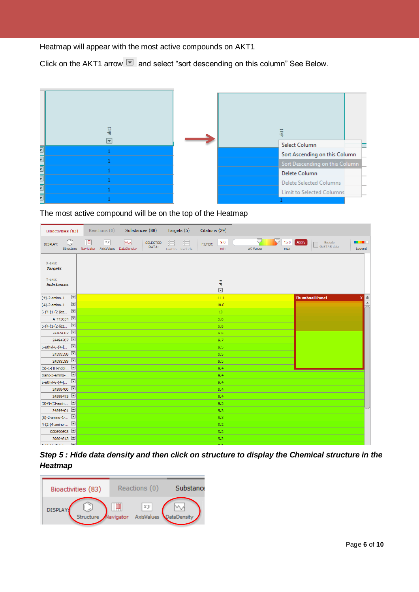Heatmap will appear with the most active compounds on AKT1

Click on the AKT1 arrow  $\boxed{\blacksquare}$  and select "sort descending on this column" See Below.



The most active compound will be on the top of the Heatmap

|                                   | Bioactivities (83) |              |    | Reactions (0) Substances (80)                   |                          | Targets (5) |                       | Citations (29) |                                           |           |             |       |                        |                             |                                 |
|-----------------------------------|--------------------|--------------|----|-------------------------------------------------|--------------------------|-------------|-----------------------|----------------|-------------------------------------------|-----------|-------------|-------|------------------------|-----------------------------|---------------------------------|
| DISPLAY:                          | U                  | $\mathbb{Z}$ | xy | M<br>Structure Navigator AxisValues DataDensity | <b>SELECTED</b><br>DATA: | 脂           | 讀<br>Limit to Exclude | FILTER:        | 9.0<br>min                                | pX Value: | 15.0<br>max | Apply | Exclude<br>GoSTAR data | <b>CONTRACTOR</b><br>Legend |                                 |
| X-axis:<br><b>Targets</b>         |                    |              |    |                                                 |                          |             |                       |                |                                           |           |             |       |                        |                             |                                 |
| Y-axis:<br><b>Substances</b>      |                    |              |    |                                                 |                          |             |                       |                | $\frac{1}{2}$<br>$\overline{\phantom{a}}$ |           |             |       |                        |                             |                                 |
| $(\pm)$ -2-amino-1                |                    |              |    |                                                 |                          |             |                       |                | 11.1                                      |           |             |       | <b>Thumbnail Panel</b> |                             | $\frac{\mathbf{x}}{\mathbf{r}}$ |
| $(\pm)$ -2-amino-1                |                    |              |    |                                                 |                          |             |                       |                | 10.8                                      |           |             |       |                        |                             |                                 |
| $6-(4-(1-(2-(az))$                |                    |              |    |                                                 |                          |             |                       |                | 10                                        |           |             |       |                        |                             |                                 |
|                                   | A-443654           |              |    |                                                 |                          |             |                       |                | 9.8                                       |           |             |       |                        |                             |                                 |
| $6-(4-(1-(2-(az - \sqrt{3})))$    |                    |              |    |                                                 |                          |             |                       |                | 9.8                                       |           |             |       |                        |                             |                                 |
|                                   | 24169682           |              |    |                                                 |                          |             |                       |                | 9.8                                       |           |             |       |                        |                             |                                 |
|                                   | 24494707           |              |    |                                                 |                          |             |                       |                | 9.7                                       |           |             |       |                        |                             |                                 |
| 5-ethyl-6-{4-[ ■                  |                    |              |    |                                                 |                          |             |                       |                | 9,5                                       |           |             |       |                        |                             |                                 |
|                                   | 24399398           |              |    |                                                 |                          |             |                       |                | 9.5                                       |           |             |       |                        |                             |                                 |
|                                   | 24399399           |              |    |                                                 |                          |             |                       |                | 9,5                                       |           |             |       |                        |                             |                                 |
| $(S)-1-(1H-indol$                 |                    |              |    |                                                 |                          |             |                       |                | 9,4                                       |           |             |       |                        |                             |                                 |
| trans-3-amino-                    |                    |              |    |                                                 |                          |             |                       |                | 9,4                                       |           |             |       |                        |                             |                                 |
| 5-ethyl-6-{4-[ ■                  |                    |              |    |                                                 |                          |             |                       |                | 9,4                                       |           |             |       |                        |                             |                                 |
|                                   | 24399400           |              |    |                                                 |                          |             |                       |                | 9,4                                       |           |             |       |                        |                             |                                 |
|                                   | 24399475           |              |    |                                                 |                          |             |                       |                | 9,4                                       |           |             |       |                        |                             |                                 |
| (S)-N-((3-amin <u>▼</u>           |                    |              |    |                                                 |                          |             |                       |                | 9,3                                       |           |             |       |                        |                             |                                 |
|                                   | 24399401           |              |    |                                                 |                          |             |                       |                | 9.3                                       |           |             |       |                        |                             |                                 |
| $(S)-2$ -amino-1-                 |                    |              |    |                                                 |                          |             |                       |                | 9.3                                       |           |             |       |                        |                             |                                 |
| 4-(2-(4-amino- <del>■</del>       |                    |              |    |                                                 |                          |             |                       |                | 9,2                                       |           |             |       |                        |                             |                                 |
|                                   | GSK690693          |              |    |                                                 |                          |             |                       |                | 9.2                                       |           |             |       |                        |                             |                                 |
|                                   | 20604613           |              |    |                                                 |                          |             |                       |                | 9,2                                       |           |             |       |                        |                             |                                 |
| $r$ <i>IA IA In I<sub>A</sub></i> | $\overline{ }$     |              |    |                                                 |                          |             |                       |                | $\sim$ $\sim$                             |           |             |       |                        |                             |                                 |

*Step 5 : Hide data density and then click on structure to display the Chemical structure in the Heatmap*

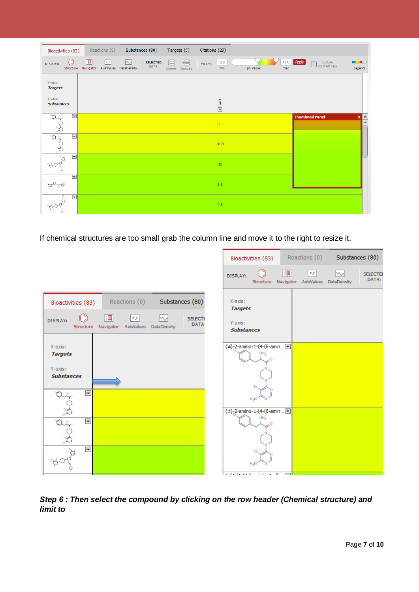|                              | Bioactivities (83)   |                | Reactions (0) | Substances (80)                       |                          | Targets (5)           |   | Citations (29) |                                       |           |     |              |                        |                             |                              |
|------------------------------|----------------------|----------------|---------------|---------------------------------------|--------------------------|-----------------------|---|----------------|---------------------------------------|-----------|-----|--------------|------------------------|-----------------------------|------------------------------|
| DISPLAY:                     | Structure            | $\blacksquare$ | $xy$          | M<br>Navigator AxisValues DataDensity | <b>SELECTED</b><br>DATA: | 詣<br>Limit to Exclude | 這 | FILTER:        | 9.0<br>min                            | pX Value: | max | 15.0   Apply | Exclude<br>GoSTAR data | <b>CONTRACTOR</b><br>Legend |                              |
| X-axis:<br><b>Targets</b>    |                      |                |               |                                       |                          |                       |   |                |                                       |           |     |              |                        |                             |                              |
| Y-axis:<br><b>Substances</b> |                      |                |               |                                       |                          |                       |   |                | $\frac{1}{6}$<br>$\blacktriangledown$ |           |     |              |                        |                             |                              |
| $\frac{1}{3}$                | $\blacktriangledown$ |                |               |                                       |                          |                       |   |                | 11.1                                  |           |     |              | <b>Thumbnail Panel</b> |                             | $x \geq$<br>$\blacktriangle$ |
|                              | $\blacktriangledown$ |                |               |                                       |                          |                       |   |                | 10.8                                  |           |     |              |                        |                             |                              |
|                              | $\blacktriangledown$ |                |               |                                       |                          |                       |   |                | 10                                    |           |     |              |                        |                             |                              |
| e شهر<br>په                  | $\blacktriangledown$ |                |               |                                       |                          |                       |   |                | 9.8                                   |           |     |              |                        |                             |                              |
|                              | $\blacktriangledown$ |                |               |                                       |                          |                       |   |                | 9.8                                   |           |     |              |                        |                             |                              |

If chemical structures are too small grab the column line and move it to the right to resize it.



*Step 6 : Then select the compound by clicking on the row header (Chemical structure) and limit to*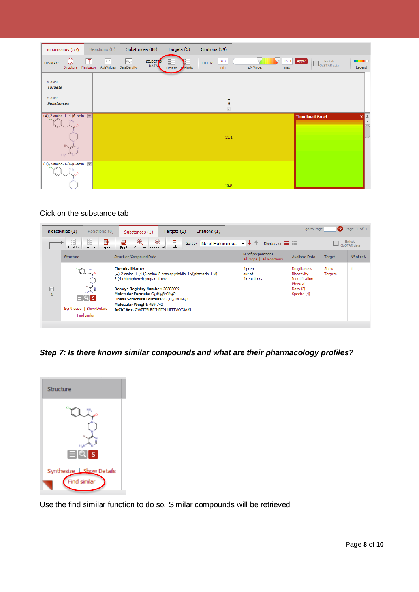| Bioactivities (83)                                                     | Reactions (0)                       | Substances (80)                                               | Targets (5)                         | Citations (29)                            |           |                                                 |                             |
|------------------------------------------------------------------------|-------------------------------------|---------------------------------------------------------------|-------------------------------------|-------------------------------------------|-----------|-------------------------------------------------|-----------------------------|
| DISPLAY:<br>Structure                                                  | $\blacksquare$<br> xy <br>Navigator | M<br><b>SELECTIO</b><br><b>DATA</b><br>AxisValues DataDensity | 疆<br>Limit to <b><i>Exclude</i></b> | 9.0<br>FILTER:<br>min                     | pX Value: | 15.0   Apply  <br>Exclude<br>GoSTAR data<br>max | <b>CONTRACTOR</b><br>Legend |
| X-axis:<br><b>Targets</b>                                              |                                     |                                                               |                                     |                                           |           |                                                 |                             |
| Y-axis:<br><b>Substances</b>                                           |                                     |                                                               |                                     | $\frac{1}{6}$<br>$\overline{\phantom{a}}$ |           |                                                 |                             |
| $(t)$ -2-amino-1-(4-(6-amin $\Box$<br>NH <sub>2</sub><br>Br.<br>$H_2N$ |                                     |                                                               |                                     | 11.1                                      |           | <b>Thumbnail Panel</b>                          | 全<br>$\boldsymbol{x}$       |
| (±)-2-amino-1-(4-(6-amin<br>NH <sub>2</sub>                            |                                     |                                                               |                                     | 10.8                                      |           |                                                 |                             |

#### Cick on the substance tab

|                   | Reactions (0)<br>Bioactivities (1)                                     | Citations (1)<br>Targets (1)<br>Substances (1)                                                                                                                                                                                                                                                                                                   | $\bigodot$ Page 1 of 1<br>go to Page            |                                                                                        |                 |                               |  |
|-------------------|------------------------------------------------------------------------|--------------------------------------------------------------------------------------------------------------------------------------------------------------------------------------------------------------------------------------------------------------------------------------------------------------------------------------------------|-------------------------------------------------|----------------------------------------------------------------------------------------|-----------------|-------------------------------|--|
|                   | 錩<br>噐<br>╔<br>Exclude<br>Limit to<br>Export                           | $\Theta$<br>E<br>$^{\circledR}$<br>€<br>Sort by No of References $\rightarrow \rightarrow \rightarrow$<br>Hide<br>Zoom out<br>Zoom in<br><b>Print</b>                                                                                                                                                                                            | Display as: 111                                 |                                                                                        |                 | <b>Exclude</b><br>GoSTAR data |  |
|                   | Structure                                                              | Structure/Compound Data                                                                                                                                                                                                                                                                                                                          | N° of preparations<br>All Preps   All Reactions | Available Data                                                                         | Target          | $N^{\circ}$ of ref.           |  |
| ▣<br>$\mathbf{1}$ | $\mathbb{R}^n$<br>$EQ$ is<br>Synthesize   Show Details<br>Find similar | <b>Chemical Name:</b><br>(±)-2-amino-1-(4-(6-amino-5-bromopyrimidin-4-yl)piperazin-1-yl)-<br>3-(4-chlorophenyl) propan-1-one<br>Reaxys Registry Number: 26585609<br>Molecular Formula: C <sub>17H20</sub> BrClN <sub>6</sub> O<br>Linear Structure Formula: C17H20BrClN6O<br>Molecular Weight: 439.742<br>InChI Key: OWZITGLREJNFEI-UHFFFAOYSA-N | 4 prep<br>out of<br>4 reactions.                | Druglikeness<br>Bioactivity<br>Identification<br>Physical<br>Data $(2)$<br>Spectra (4) | Show<br>Targets | 1                             |  |

*Step 7: Is there known similar compounds and what are their pharmacology profiles?* 



Use the find similar function to do so. Similar compounds will be retrieved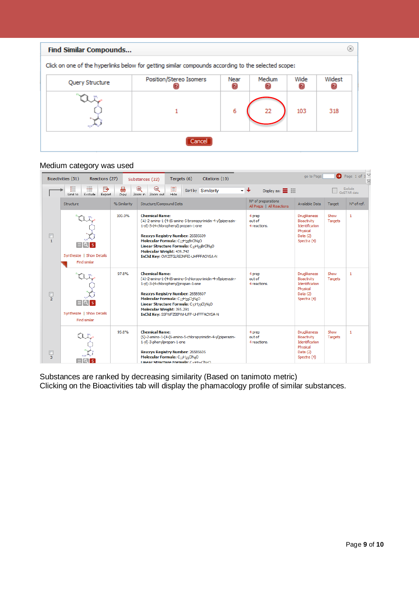| Find Similar Compounds                                                                              |                         |      |        |      |        |  |  |  |  |  |  |  |
|-----------------------------------------------------------------------------------------------------|-------------------------|------|--------|------|--------|--|--|--|--|--|--|--|
| Click on one of the hyperlinks below for getting similar compounds according to the selected scope: |                         |      |        |      |        |  |  |  |  |  |  |  |
| Query Structure                                                                                     | Position/Stereo Isomers | Near | Medium | Wide | Widest |  |  |  |  |  |  |  |
|                                                                                                     |                         | 6    | 22     | 103  | 318    |  |  |  |  |  |  |  |
|                                                                                                     |                         |      |        |      |        |  |  |  |  |  |  |  |

## Medium category was used

| $M \lhd$<br>$\bullet$ Page 1 of 1<br>go to Page<br>Bioactivities (51)<br>Reactions (27)<br>Targets (6)<br>Citations (10)<br>Substances (22) |                                                         |              |                                                                                                                                                                                                                                                                                                                                                                                        |                                                 |                                                                                               |                                 |              |  |  |  |
|---------------------------------------------------------------------------------------------------------------------------------------------|---------------------------------------------------------|--------------|----------------------------------------------------------------------------------------------------------------------------------------------------------------------------------------------------------------------------------------------------------------------------------------------------------------------------------------------------------------------------------------|-------------------------------------------------|-----------------------------------------------------------------------------------------------|---------------------------------|--------------|--|--|--|
|                                                                                                                                             | 錩<br><del>隕</del><br>℡<br>Limit to<br>Exclude<br>Export | 昌<br>Print   | $^\circledR$<br>圓<br>Θ<br>Sort by Similarity<br>Hide<br>Zoom in Zoom out                                                                                                                                                                                                                                                                                                               | デ╋<br>Display as: $\blacksquare$                | Exclude<br>GoSTAR data                                                                        |                                 |              |  |  |  |
|                                                                                                                                             | Structure                                               | % Similarity | Structure/Compound Data                                                                                                                                                                                                                                                                                                                                                                | N° of preparations<br>All Preps   All Reactions | Available Data                                                                                | Target                          | N° of ref.   |  |  |  |
| $\mathbf{1}$                                                                                                                                | Synthesize   Show Details<br>Find similar               | 100.0%       | <b>Chemical Name:</b><br>(±)-2-amino-1-(4-(6-amino-5-bromopyrimidin-4-yl)piperazin-<br>1-yl)-3-(4-chlorophenyl) propan-1-one<br>Reaxys Registry Number: 26585609<br>Molecular Formula: C <sub>1</sub> H <sub>20</sub> BrClN <sub>6</sub> O<br>Linear Structure Formula: C <sub>17H20</sub> BrClN <sub>6</sub> O<br>Molecular Weight: 439.742<br>InChI Key: OWZITGLREJNFEI-UHFFFAOYSA-N | 4 prep<br>out of<br>4 reactions.                | Druglikeness<br>Bioactivity<br>Identification<br>Physical<br>Data $(2)$<br>Spectra (4)        | Show<br>$\mathbf{1}$<br>Targets |              |  |  |  |
| $\Box$<br>$\overline{2}$                                                                                                                    | Synthesize   Show Details<br>Find similar               | 97.8%        | <b>Chemical Name:</b><br>(±)-2-amino-1-(4-(6-amino-5-chloropyrimidin-4-yl)piperazin-<br>1-yl)-3-(4-chlorophenyl)propan-1-one<br>Reaxys Registry Number: 26585607<br>Molecular Formula: C <sub>17H20</sub> Cl <sub>2</sub> N <sub>6</sub> O<br>Linear Structure Formula: C17H20Cl2N6O<br>Molecular Weight: 395.291<br>InChI Key: SSFWFZBIPWHUFP-UHFFFAOYSA-N                            | 4 prep<br>out of<br>4 reactions.                | <b>Druglikeness</b><br>Bioactivity<br>Identification<br>Physical<br>Data $(2)$<br>Spectra (4) | Show<br>Targets                 | $\mathbf{1}$ |  |  |  |
| $\Box$<br>3                                                                                                                                 |                                                         | 95.8%        | <b>Chemical Name:</b><br>(S)-2-amino-1-(4-(6-amino-5-chloropyrimidin-4-yl)piperazin-<br>1-yl)-3-phenylpropan-1-one<br>Reaxys Registry Number: 26585605<br>Molecular Formula: C <sub>17H21</sub> ClN <sub>6</sub> O<br>Linear Structure Formula: CathaClNcO                                                                                                                             | 4 prep<br>out of<br>4 reactions.                | Druglikeness<br>Bioactivity<br>Identification<br>Physical<br>Data $(2)$<br>Spectra (4)        | Show<br>Targets                 | 1            |  |  |  |

Substances are ranked by decreasing similarity (Based on tanimoto metric) Clicking on the Bioactivities tab will display the phamacology profile of similar substances.